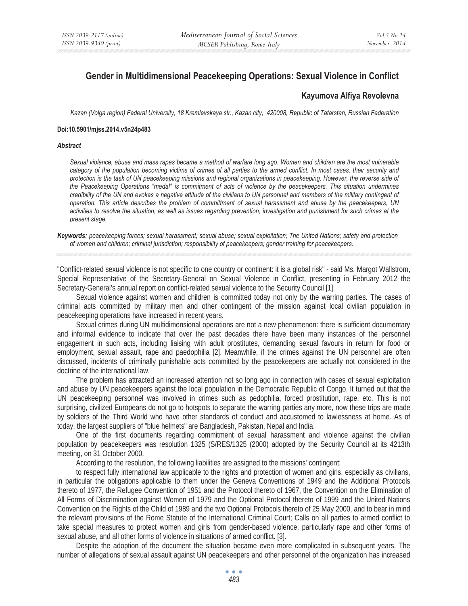# **Gender in Multidimensional Peacekeeping Operations: Sexual Violence in Conflict**

## **Kayumova Alfiya Revolevna**

*Kazan (Volga region) Federal University, 18 Kremlevskaya str., Kazan city, 420008, Republic of Tatarstan, Russian Federation* 

#### **Doi:10.5901/mjss.2014.v5n24p483**

#### *Abstract*

*Sexual violence, abuse and mass rapes became a method of warfare long ago. Women and children are the most vulnerable category of the population becoming victims of crimes of all parties to the armed conflict. In most cases, their security and protection is the task of UN peacekeeping missions and regional organizations in peacekeeping. However, the reverse side of the Peacekeeping Operations "medal" is commitment of acts of violence by the peacekeepers. This situation undermines credibility of the UN and evokes a negative attitude of the civilians to UN personnel and members of the military contingent of operation. This article describes the problem of committment of sexual harassment and abuse by the peacekeepers, UN activities to resolve the situation, as well as issues regarding prevention, investigation and punishment for such crimes at the present stage.* 

*Keywords: peacekeeping forces; sexual harassment; sexual abuse; sexual exploitation; The United Nations; safety and protection of women and children; criminal jurisdiction; responsibility of peacekeepers; gender training for peacekeepers.* 

"Conflict-related sexual violence is not specific to one country or continent: it is a global risk" - said Ms. Margot Wallstrom, Special Representative of the Secretary-General on Sexual Violence in Conflict, presenting in February 2012 the Secretary-General's annual report on conflict-related sexual violence to the Security Council [1].

Sexual violence against women and children is committed today not only by the warring parties. The cases of criminal acts committed by military men and other contingent of the mission against local civilian population in peacekeeping operations have increased in recent years.

Sexual crimes during UN multidimensional operations are not a new phenomenon: there is sufficient documentary and informal evidence to indicate that over the past decades there have been many instances of the personnel engagement in such acts, including liaising with adult prostitutes, demanding sexual favours in return for food or employment, sexual assault, rape and paedophilia [2]. Meanwhile, if the crimes against the UN personnel are often discussed, incidents of criminally punishable acts committed by the peacekeepers are actually not considered in the doctrine of the international law.

The problem has attracted an increased attention not so long ago in connection with cases of sexual exploitation and abuse by UN peacekeepers against the local population in the Democratic Republic of Congo. It turned out that the UN peacekeeping personnel was involved in crimes such as pedophilia, forced prostitution, rape, etc. This is not surprising, civilized Europeans do not go to hotspots to separate the warring parties any more, now these trips are made by soldiers of the Third World who have other standards of conduct and accustomed to lawlessness at home. As of today, the largest suppliers of "blue helmets" are Bangladesh, Pakistan, Nepal and India.

One of the first documents regarding commitment of sexual harassment and violence against the civilian population by peacekeepers was resolution 1325 (S/RES/1325 (2000) adopted by the Security Council at its 4213th meeting, on 31 October 2000.

According to the resolution, the following liabilities are assigned to the missions' contingent:

to respect fully international law applicable to the rights and protection of women and girls, especially as civilians, in particular the obligations applicable to them under the Geneva Conventions of 1949 and the Additional Protocols thereto of 1977, the Refugee Convention of 1951 and the Protocol thereto of 1967, the Convention on the Elimination of All Forms of Discrimination against Women of 1979 and the Optional Protocol thereto of 1999 and the United Nations Convention on the Rights of the Child of 1989 and the two Optional Protocols thereto of 25 May 2000, and to bear in mind the relevant provisions of the Rome Statute of the International Criminal Court; Calls on all parties to armed conflict to take special measures to protect women and girls from gender-based violence, particularly rape and other forms of sexual abuse, and all other forms of violence in situations of armed conflict. [3].

Despite the adoption of the document the situation became even more complicated in subsequent years. The number of allegations of sexual assault against UN peacekeepers and other personnel of the organization has increased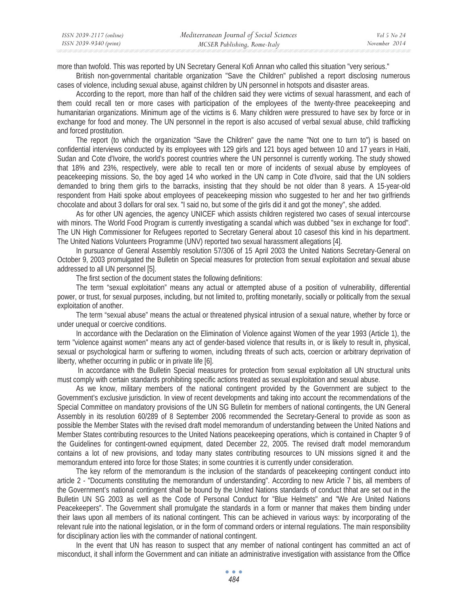more than twofold. This was reported by UN Secretary General Kofi Annan who called this situation "very serious."

British non-governmental charitable organization "Save the Children" published a report disclosing numerous cases of violence, including sexual abuse, against children by UN personnel in hotspots and disaster areas.

According to the report, more than half of the children said they were victims of sexual harassment, and each of them could recall ten or more cases with participation of the employees of the twenty-three peacekeeping and humanitarian organizations. Minimum age of the victims is 6. Many children were pressured to have sex by force or in exchange for food and money. The UN personnel in the report is also accused of verbal sexual abuse, child trafficking and forced prostitution.

The report (to which the organization "Save the Children" gave the name "Not one to turn to") is based on confidential interviews conducted by its employees with 129 girls and 121 boys aged between 10 and 17 years in Haiti, Sudan and Cote d'Ivoire, the world's poorest countries where the UN personnel is currently working. The study showed that 18% and 23%, respectively, were able to recall ten or more of incidents of sexual abuse by employees of peacekeeping missions. So, the boy aged 14 who worked in the UN camp in Cote d'Ivoire, said that the UN soldiers demanded to bring them girls to the barracks, insisting that they should be not older than 8 years. A 15-year-old respondent from Haiti spoke about employees of peacekeeping mission who suggested to her and her two girlfriends chocolate and about 3 dollars for oral sex. "I said no, but some of the girls did it and got the money", she added.

As for other UN agencies, the agency UNICEF which assists children registered two cases of sexual intercourse with minors. The World Food Program is currently investigating a scandal which was dubbed "sex in exchange for food". The UN High Commissioner for Refugees reported to Secretary General about 10 casesof this kind in his department. The United Nations Volunteers Programme (UNV) reported two sexual harassment allegations [4].

In pursuance of General Assembly resolution 57/306 of 15 April 2003 the United Nations Secretary-General on October 9, 2003 promulgated the Bulletin on Special measures for protection from sexual exploitation and sexual abuse addressed to all UN personnel [5].

The first section of the document states the following definitions:

The term "sexual exploitation" means any actual or attempted abuse of a position of vulnerability, differential power, or trust, for sexual purposes, including, but not limited to, profiting monetarily, socially or politically from the sexual exploitation of another.

The term "sexual abuse" means the actual or threatened physical intrusion of a sexual nature, whether by force or under unequal or coercive conditions.

In accordance with the Declaration on the Elimination of Violence against Women of the year 1993 (Article 1), the term "violence against women" means any act of gender-based violence that results in, or is likely to result in, physical, sexual or psychological harm or suffering to women, including threats of such acts, coercion or arbitrary deprivation of liberty, whether occurring in public or in private life [6].

 In accordance with the Bulletin Special measures for protection from sexual exploitation all UN structural units must comply with certain standards prohibiting specific actions treated as sexual exploitation and sexual abuse.

As we know, military members of the national contingent provided by the Government are subject to the Government's exclusive jurisdiction. In view of recent developments and taking into account the recommendations of the Special Committee on mandatory provisions of the UN SG Bulletin for members of national contingents, the UN General Assembly in its resolution 60/289 of 8 September 2006 recommended the Secretary-General to provide as soon as possible the Member States with the revised draft model memorandum of understanding between the United Nations and Member States contributing resources to the United Nations peacekeeping operations, which is contained in Chapter 9 of the Guidelines for contingent-owned equipment, dated December 22, 2005. The revised draft model memorandum contains a lot of new provisions, and today many states contributing resources to UN missions signed it and the memorandum entered into force for those States; in some countries it is currently under consideration.

The key reform of the memorandum is the inclusion of the standards of peacekeeping contingent conduct into article 2 - "Documents constituting the memorandum of understanding". According to new Article 7 bis, all members of the Government's national contingent shall be bound by the United Nations standards of conduct thhat are set out in the Bulletin UN SG 2003 as well as the Code of Personal Conduct for "Blue Helmets" and "We Are United Nations Peacekeepers". The Government shall promulgate the standards in a form or manner that makes them binding under their laws upon all members of its national contingent. This can be achieved in various ways: by incorporating of the relevant rule into the national legislation, or in the form of command orders or internal regulations. The main responsibility for disciplinary action lies with the commander of national contingent.

In the event that UN has reason to suspect that any member of national contingent has committed an act of misconduct, it shall inform the Government and can initiate an administrative investigation with assistance from the Office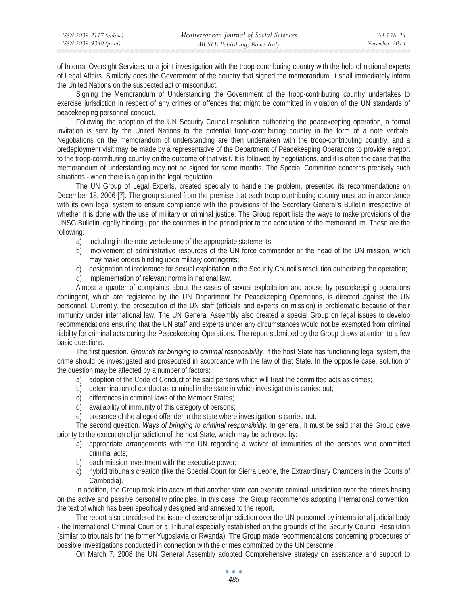of Internal Oversight Services, or a joint investigation with the troop-contributing country with the help of national experts of Legal Affairs. Similarly does the Government of the country that signed the memorandum: it shall immediately inform the United Nations on the suspected act of misconduct.

Signing the Memorandum of Understanding the Government of the troop-contributing country undertakes to exercise jurisdiction in respect of any crimes or offences that might be committed in violation of the UN standards of peacekeeping personnel conduct.

Following the adoption of the UN Security Council resolution authorizing the peacekeeping operation, a formal invitation is sent by the United Nations to the potential troop-contributing country in the form of a note verbale. Negotiations on the memorandum of understanding are then undertaken with the troop-contributing country, and a predeployment visit may be made by a representative of the Department of Peacekeeping Operations to provide a report to the troop-contributing country on the outcome of that visit. It is followed by negotiations, and it is often the case that the memorandum of understanding may not be signed for some months. The Special Committee concerns precisely such situations - when there is a gap in the legal regulation.

The UN Group of Legal Experts, created specially to handle the problem, presented its recommendations on December 18, 2006 [7]. The group started from the premise that each troop-contributing country must act in accordance with its own legal system to ensure compliance with the provisions of the Secretary General's Bulletin irrespective of whether it is done with the use of military or criminal justice. The Group report lists the ways to make provisions of the UNSG Bulletin legally binding upon the countries in the period prior to the conclusion of the memorandum. These are the following:

- a) including in the note verbale one of the appropriate statements;
- b) involvement of administrative resources of the UN force commander or the head of the UN mission, which may make orders binding upon military contingents;
- c) designation of intolerance for sexual exploitation in the Security Council's resolution authorizing the operation;
- d) implementation of relevant norms in national law.

Almost a quarter of complaints about the cases of sexual exploitation and abuse by peacekeeping operations contingent, which are registered by the UN Department for Peacekeeping Operations, is directed against the UN personnel. Currently, the prosecution of the UN staff (officials and experts on mission) is problematic because of their immunity under international law. The UN General Assembly also created a special Group on legal issues to develop recommendations ensuring that the UN staff and experts under any circumstances would not be exempted from criminal liability for criminal acts during the Peacekeeping Operations. The report submitted by the Group draws attention to a few basic questions.

The first question. *Grounds for bringing to criminal responsibility.* If the host State has functioning legal system, the crime should be investigated and prosecuted in accordance with the law of that State. In the opposite case, solution of the question may be affected by a number of factors:

- a) adoption of the Code of Conduct of he said persons which will treat the committed acts as crimes;
- b) determination of conduct as criminal in the state in which investigation is carried out;
- c) differences in criminal laws of the Member States;
- d) availability of immunity of this category of persons;
- e) presence of the alleged offender in the state where investigation is carried out.

The second question. *Ways of bringing to criminal responsibility.* In general, it must be said that the Group gave priority to the execution of jurisdiction of the host State, which may be achieved by:

- a) appropriate arrangements with the UN regarding a waiver of immunities of the persons who committed criminal acts;
- b) each mission investment with the executive power;
- c) hybrid tribunals creation (like the Special Court for Sierra Leone, the Extraordinary Chambers in the Courts of Cambodia).

In addition, the Group took into account that another state can execute criminal jurisdiction over the crimes basing on the active and passive personality principles. In this case, the Group recommends adopting international convention, the text of which has been specifically designed and annexed to the report.

The report also considered the issue of exercise of jurisdiction over the UN personnel by international judicial body - the International Criminal Court or a Tribunal especially established on the grounds of the Security Council Resolution (similar to tribunals for the former Yugoslavia or Rwanda). The Group made recommendations concerning procedures of possible investigations conducted in connection with the crimes committed by the UN personnel.

On March 7, 2008 the UN General Assembly adopted Comprehensive strategy on assistance and support to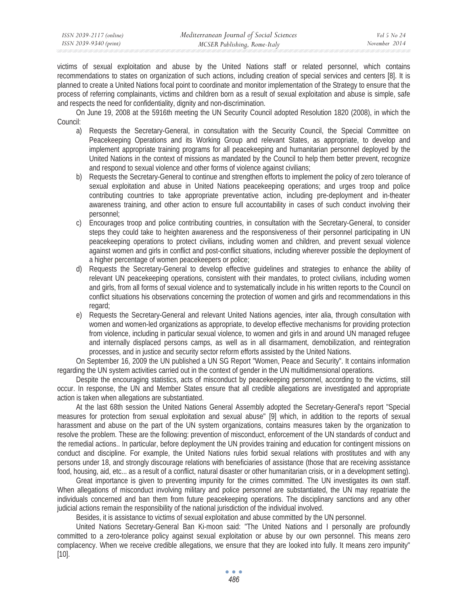| ISSN 2039-2117 (online) | Mediterranean Journal of Social Sciences | Vol 5 No 24   |
|-------------------------|------------------------------------------|---------------|
| ISSN 2039-9340 (print)  | MCSER Publishing, Rome-Italy             | November 2014 |

victims of sexual exploitation and abuse by the United Nations staff or related personnel, which contains recommendations to states on organization of such actions, including creation of special services and centers [8]. It is planned to create a United Nations focal point to coordinate and monitor implementation of the Strategy to ensure that the process of referring complainants, victims and children born as a result of sexual exploitation and abuse is simple, safe and respects the need for confidentiality, dignity and non-discrimination.

On June 19, 2008 at the 5916th meeting the UN Security Council adopted Resolution 1820 (2008), in which the Council:

- a) Requests the Secretary-General, in consultation with the Security Council, the Special Committee on Peacekeeping Operations and its Working Group and relevant States, as appropriate, to develop and implement appropriate training programs for all peacekeeping and humanitarian personnel deployed by the United Nations in the context of missions as mandated by the Council to help them better prevent, recognize and respond to sexual violence and other forms of violence against civilians;
- b) Requests the Secretary-General to continue and strengthen efforts to implement the policy of zero tolerance of sexual exploitation and abuse in United Nations peacekeeping operations; and urges troop and police contributing countries to take appropriate preventative action, including pre-deployment and in-theater awareness training, and other action to ensure full accountability in cases of such conduct involving their personnel;
- c) Encourages troop and police contributing countries, in consultation with the Secretary-General, to consider steps they could take to heighten awareness and the responsiveness of their personnel participating in UN peacekeeping operations to protect civilians, including women and children, and prevent sexual violence against women and girls in conflict and post-conflict situations, including wherever possible the deployment of a higher percentage of women peacekeepers or police;
- d) Requests the Secretary-General to develop effective guidelines and strategies to enhance the ability of relevant UN peacekeeping operations, consistent with their mandates, to protect civilians, including women and girls, from all forms of sexual violence and to systematically include in his written reports to the Council on conflict situations his observations concerning the protection of women and girls and recommendations in this regard;
- e) Requests the Secretary-General and relevant United Nations agencies, inter alia, through consultation with women and women-led organizations as appropriate, to develop effective mechanisms for providing protection from violence, including in particular sexual violence, to women and girls in and around UN managed refugee and internally displaced persons camps, as well as in all disarmament, demobilization, and reintegration processes, and in justice and security sector reform efforts assisted by the United Nations.

On September 16, 2009 the UN published a UN SG Report "Women, Peace and Security". It contains information regarding the UN system activities carried out in the context of gender in the UN multidimensional operations.

Despite the encouraging statistics, acts of misconduct by peacekeeping personnel, according to the victims, still occur. In response, the UN and Member States ensure that all credible allegations are investigated and appropriate action is taken when allegations are substantiated.

At the last 68th session the United Nations General Assembly adopted the Secretary-General's report "Special measures for protection from sexual exploitation and sexual abuse" [9] which, in addition to the reports of sexual harassment and abuse on the part of the UN system organizations, contains measures taken by the organization to resolve the problem. These are the following: prevention of misconduct, enforcement of the UN standards of conduct and the remedial actions.. In particular, before deployment the UN provides training and education for contingent missions on conduct and discipline. For example, the United Nations rules forbid sexual relations with prostitutes and with any persons under 18, and strongly discourage relations with beneficiaries of assistance (those that are receiving assistance food, housing, aid, etc... as a result of a conflict, natural disaster or other humanitarian crisis, or in a development setting).

Great importance is given to preventing impunity for the crimes committed. The UN investigates its own staff. When allegations of misconduct involving military and police personnel are substantiated, the UN may repatriate the individuals concerned and ban them from future peacekeeping operations. The disciplinary sanctions and any other judicial actions remain the responsibility of the national jurisdiction of the individual involved.

Besides, it is assistance to victims of sexual exploitation and abuse committed by the UN personnel.

United Nations Secretary-General Ban Ki-moon said: "The United Nations and I personally are profoundly committed to a zero-tolerance policy against sexual exploitation or abuse by our own personnel. This means zero complacency. When we receive credible allegations, we ensure that they are looked into fully. It means zero impunity"  $[10]$ .